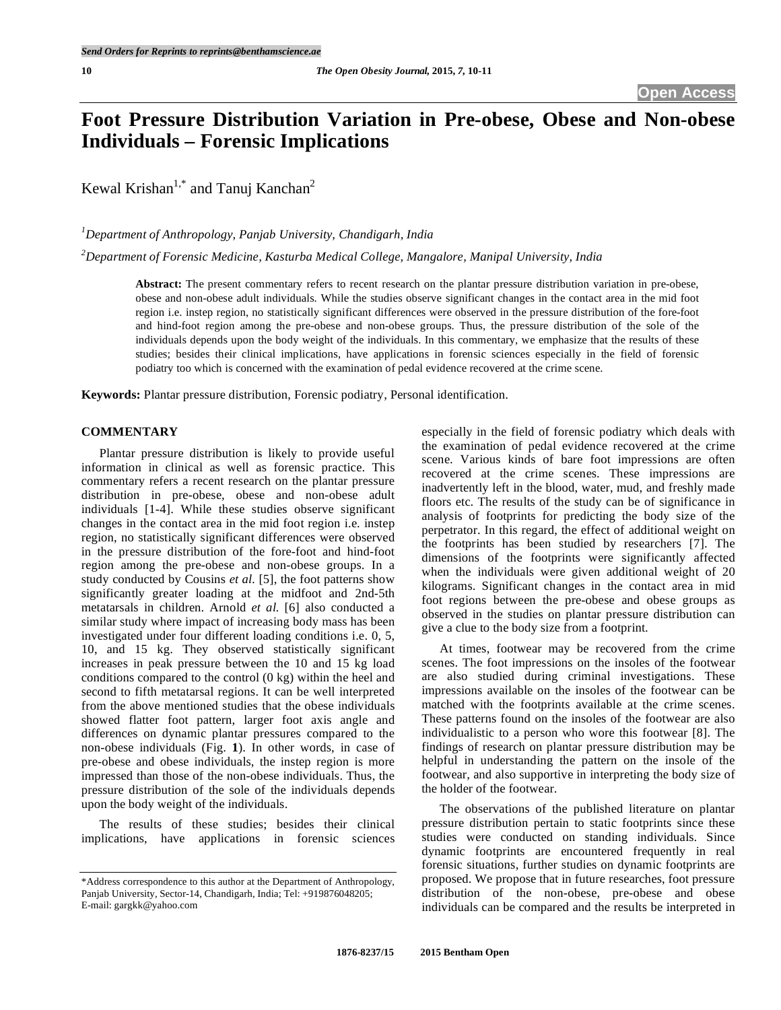# **Foot Pressure Distribution Variation in Pre-obese, Obese and Non-obese Individuals – Forensic Implications**

Kewal Krishan<sup>1,\*</sup> and Tanuj Kanchan<sup>2</sup>

*1 Department of Anthropology, Panjab University, Chandigarh, India* 

*2 Department of Forensic Medicine, Kasturba Medical College, Mangalore, Manipal University, India* 

**Abstract:** The present commentary refers to recent research on the plantar pressure distribution variation in pre-obese, obese and non-obese adult individuals. While the studies observe significant changes in the contact area in the mid foot region i.e. instep region, no statistically significant differences were observed in the pressure distribution of the fore-foot and hind-foot region among the pre-obese and non-obese groups. Thus, the pressure distribution of the sole of the individuals depends upon the body weight of the individuals. In this commentary, we emphasize that the results of these studies; besides their clinical implications, have applications in forensic sciences especially in the field of forensic podiatry too which is concerned with the examination of pedal evidence recovered at the crime scene.

**Keywords:** Plantar pressure distribution, Forensic podiatry, Personal identification.

### **COMMENTARY**

 Plantar pressure distribution is likely to provide useful information in clinical as well as forensic practice. This commentary refers a recent research on the plantar pressure distribution in pre-obese, obese and non-obese adult individuals [1-4]. While these studies observe significant changes in the contact area in the mid foot region i.e. instep region, no statistically significant differences were observed in the pressure distribution of the fore-foot and hind-foot region among the pre-obese and non-obese groups. In a study conducted by Cousins *et al.* [5], the foot patterns show significantly greater loading at the midfoot and 2nd-5th metatarsals in children. Arnold *et al.* [6] also conducted a similar study where impact of increasing body mass has been investigated under four different loading conditions i.e. 0, 5, 10, and 15 kg. They observed statistically significant increases in peak pressure between the 10 and 15 kg load conditions compared to the control (0 kg) within the heel and second to fifth metatarsal regions. It can be well interpreted from the above mentioned studies that the obese individuals showed flatter foot pattern, larger foot axis angle and differences on dynamic plantar pressures compared to the non-obese individuals (Fig. **1**). In other words, in case of pre-obese and obese individuals, the instep region is more impressed than those of the non-obese individuals. Thus, the pressure distribution of the sole of the individuals depends upon the body weight of the individuals.

 The results of these studies; besides their clinical implications, have applications in forensic sciences

especially in the field of forensic podiatry which deals with the examination of pedal evidence recovered at the crime scene. Various kinds of bare foot impressions are often recovered at the crime scenes. These impressions are inadvertently left in the blood, water, mud, and freshly made floors etc. The results of the study can be of significance in analysis of footprints for predicting the body size of the perpetrator. In this regard, the effect of additional weight on the footprints has been studied by researchers [7]. The dimensions of the footprints were significantly affected when the individuals were given additional weight of 20 kilograms. Significant changes in the contact area in mid foot regions between the pre-obese and obese groups as observed in the studies on plantar pressure distribution can give a clue to the body size from a footprint.

 At times, footwear may be recovered from the crime scenes. The foot impressions on the insoles of the footwear are also studied during criminal investigations. These impressions available on the insoles of the footwear can be matched with the footprints available at the crime scenes. These patterns found on the insoles of the footwear are also individualistic to a person who wore this footwear [8]. The findings of research on plantar pressure distribution may be helpful in understanding the pattern on the insole of the footwear, and also supportive in interpreting the body size of the holder of the footwear.

 The observations of the published literature on plantar pressure distribution pertain to static footprints since these studies were conducted on standing individuals. Since dynamic footprints are encountered frequently in real forensic situations, further studies on dynamic footprints are proposed. We propose that in future researches, foot pressure distribution of the non-obese, pre-obese and obese individuals can be compared and the results be interpreted in

<sup>\*</sup>Address correspondence to this author at the Department of Anthropology, Panjab University, Sector-14, Chandigarh, India; Tel: +919876048205; E-mail: gargkk@yahoo.com